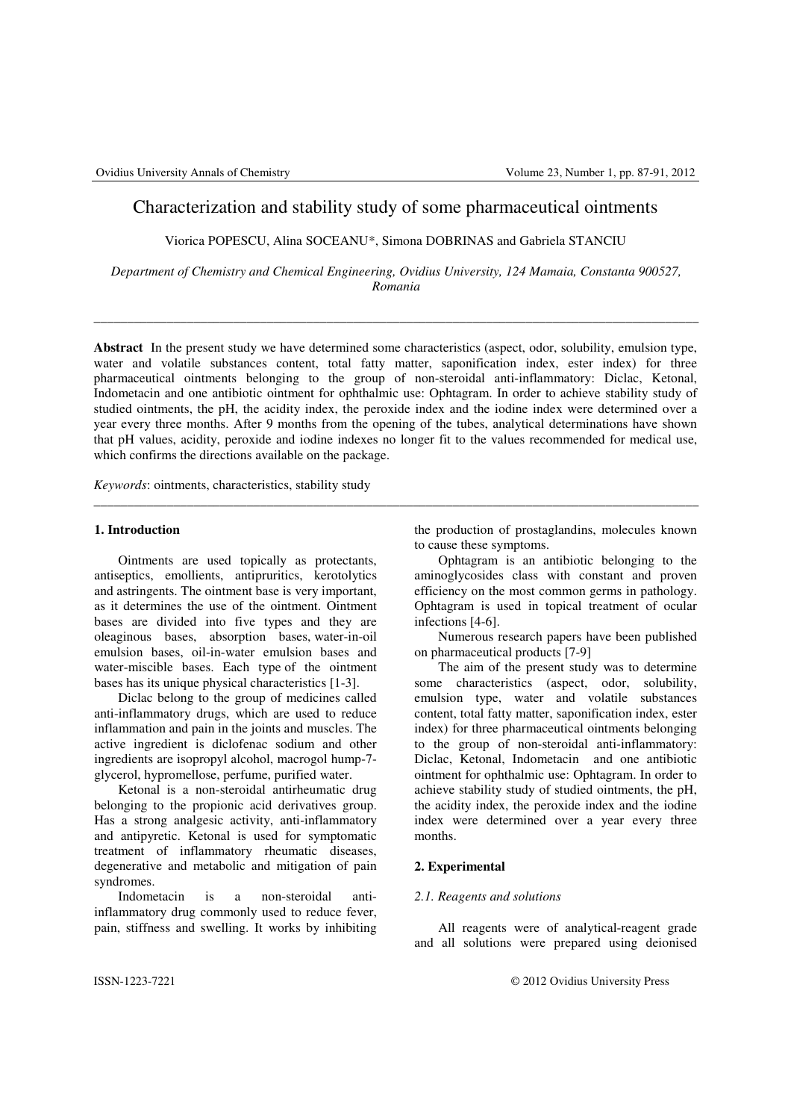# Characterization and stability study of some pharmaceutical ointments

Viorica POPESCU, Alina SOCEANU\*, Simona DOBRINAS and Gabriela STANCIU

*Department of Chemistry and Chemical Engineering, Ovidius University, 124 Mamaia, Constanta 900527, Romania*

\_\_\_\_\_\_\_\_\_\_\_\_\_\_\_\_\_\_\_\_\_\_\_\_\_\_\_\_\_\_\_\_\_\_\_\_\_\_\_\_\_\_\_\_\_\_\_\_\_\_\_\_\_\_\_\_\_\_\_\_\_\_\_\_\_\_\_\_\_\_\_\_\_\_\_\_\_\_\_\_\_\_\_\_\_\_\_\_\_\_\_

**Abstract** In the present study we have determined some characteristics (aspect, odor, solubility, emulsion type, water and volatile substances content, total fatty matter, saponification index, ester index) for three pharmaceutical ointments belonging to the group of non-steroidal anti-inflammatory: Diclac, Ketonal, Indometacin and one antibiotic ointment for ophthalmic use: Ophtagram. In order to achieve stability study of studied ointments, the pH, the acidity index, the peroxide index and the iodine index were determined over a year every three months. After 9 months from the opening of the tubes, analytical determinations have shown that pH values, acidity, peroxide and iodine indexes no longer fit to the values recommended for medical use, which confirms the directions available on the package.

\_\_\_\_\_\_\_\_\_\_\_\_\_\_\_\_\_\_\_\_\_\_\_\_\_\_\_\_\_\_\_\_\_\_\_\_\_\_\_\_\_\_\_\_\_\_\_\_\_\_\_\_\_\_\_\_\_\_\_\_\_\_\_\_\_\_\_\_\_\_\_\_\_\_\_\_\_\_\_\_\_\_\_\_\_\_\_\_\_\_\_

*Keywords*: ointments, characteristics, stability study

# **1. Introduction**

Ointments are used topically as protectants, antiseptics, emollients, antipruritics, kerotolytics and astringents. The ointment base is very important, as it determines the use of the ointment. Ointment bases are divided into five types and they are oleaginous bases, absorption bases, water-in-oil emulsion bases, oil-in-water emulsion bases and water-miscible bases. Each type of the ointment bases has its unique physical characteristics [1-3].

Diclac belong to the group of medicines called anti-inflammatory drugs, which are used to reduce inflammation and pain in the joints and muscles. The active ingredient is diclofenac sodium and other ingredients are isopropyl alcohol, macrogol hump-7 glycerol, hypromellose, perfume, purified water.

Ketonal is a non-steroidal antirheumatic drug belonging to the propionic acid derivatives group. Has a strong analgesic activity, anti-inflammatory and antipyretic. Ketonal is used for symptomatic treatment of inflammatory rheumatic diseases, degenerative and metabolic and mitigation of pain syndromes.

Indometacin is a non-steroidal antiinflammatory drug commonly used to reduce fever, pain, stiffness and swelling. It works by inhibiting the production of prostaglandins, molecules known to cause these symptoms.

Ophtagram is an antibiotic belonging to the aminoglycosides class with constant and proven efficiency on the most common germs in pathology. Ophtagram is used in topical treatment of ocular infections [4-6].

Numerous research papers have been published on pharmaceutical products [7-9]

The aim of the present study was to determine some characteristics (aspect, odor, solubility, emulsion type, water and volatile substances content, total fatty matter, saponification index, ester index) for three pharmaceutical ointments belonging to the group of non-steroidal anti-inflammatory: Diclac, Ketonal, Indometacin and one antibiotic ointment for ophthalmic use: Ophtagram. In order to achieve stability study of studied ointments, the pH, the acidity index, the peroxide index and the iodine index were determined over a year every three months.

# **2. Experimental**

## *2.1. Reagents and solutions*

All reagents were of analytical-reagent grade and all solutions were prepared using deionised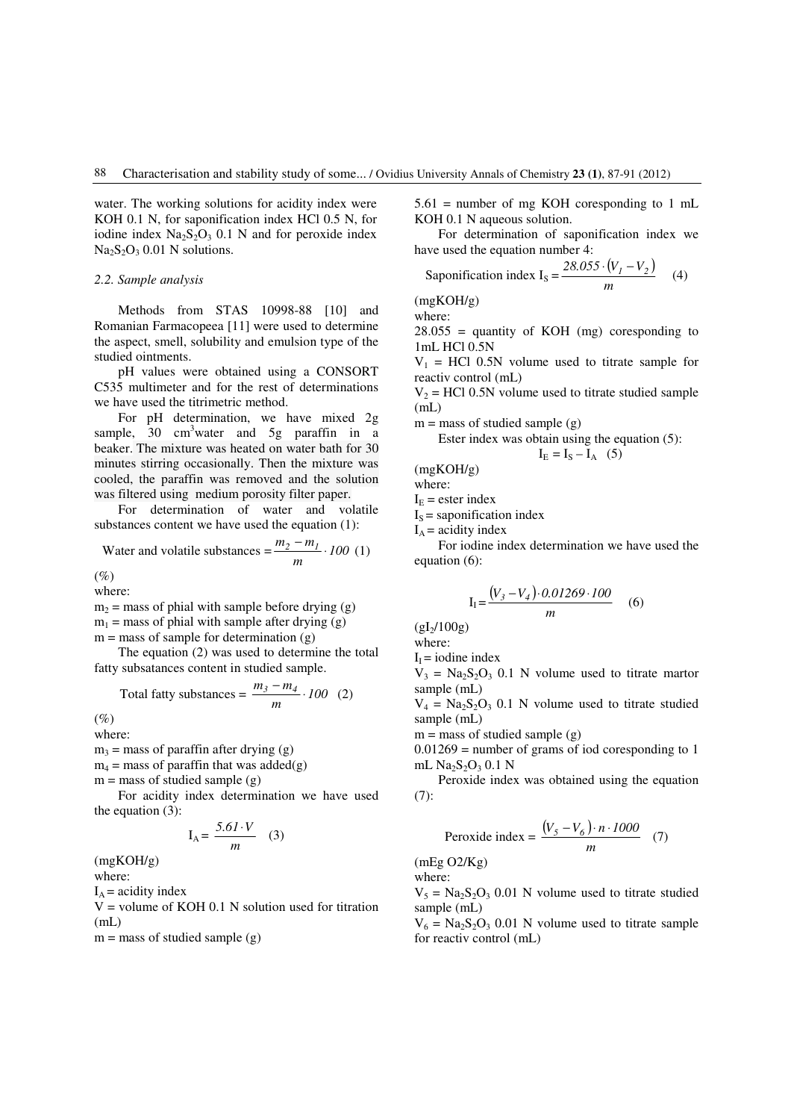water. The working solutions for acidity index were KOH 0.1 N, for saponification index HCl 0.5 N, for iodine index  $Na<sub>2</sub>S<sub>2</sub>O<sub>3</sub> 0.1 N$  and for peroxide index  $Na<sub>2</sub>S<sub>2</sub>O<sub>3</sub> 0.01 N$  solutions.

## *2.2. Sample analysis*

Methods from STAS 10998-88 [10] and Romanian Farmacopeea [11] were used to determine the aspect, smell, solubility and emulsion type of the studied ointments.

pH values were obtained using a CONSORT C535 multimeter and for the rest of determinations we have used the titrimetric method.

For pH determination, we have mixed 2g sample,  $30 \text{ cm}^3$  water and  $5g$  paraffin in a beaker. The mixture was heated on water bath for 30 minutes stirring occasionally. Then the mixture was cooled, the paraffin was removed and the solution was filtered using medium porosity filter paper.

For determination of water and volatile substances content we have used the equation (1):

Water and volatile substances  $= \frac{m_2 - m_1}{m} \cdot 100$  $\frac{m_2 - m_1}{m_2} \cdot 100$  (1)

 $(%$ 

where:

 $m_2$  = mass of phial with sample before drying (g)  $m_1$  = mass of phial with sample after drying (g)  $m =$  mass of sample for determination  $(g)$ 

 The equation (2) was used to determine the total fatty subsatances content in studied sample.

Total fatty substances = 
$$
\frac{m_3 - m_4}{m} \cdot 100
$$
 (2)

 $(%$ 

where:

 $m_3$  = mass of paraffin after drying (g)

 $m_4$  = mass of paraffin that was added(g)

 $m =$  mass of studied sample  $(g)$ 

 For acidity index determination we have used the equation (3):

$$
I_A = \frac{5.61 \cdot V}{m} \quad (3)
$$

(mgKOH/g)

where:

 $I_A$  = acidity index

 $V =$  volume of KOH 0.1 N solution used for titration  $(mL)$ 

 $m =$  mass of studied sample  $(g)$ 

 $5.61$  = number of mg KOH coresponding to 1 mL KOH 0.1 N aqueous solution.

 For determination of saponification index we have used the equation number 4:

Saponification index 
$$
I_s = \frac{28.055 \cdot (V_1 - V_2)}{m}
$$
 (4)

(mgKOH/g) where:

 $28.055$  = quantity of KOH (mg) coresponding to 1mL HCl 0.5N

 $V_1$  = HCl 0.5N volume used to titrate sample for reactiv control (mL)

 $V_2$  = HCl 0.5N volume used to titrate studied sample  $(mL)$ 

 $m =$  mass of studied sample  $(g)$ 

Ester index was obtain using the equation (5):  

$$
I_E = I_S - I_A
$$
 (5)

(mgKOH/g)

where:

 $I<sub>E</sub>$  = ester index

 $I<sub>S</sub>$  = saponification index  $I_A$  = acidity index

 For iodine index determination we have used the equation (6):

$$
I_{I} = \frac{(V_{3} - V_{4}) \cdot 0.01269 \cdot 100}{m}
$$
 (6)

 $(gI_2/100g)$ 

where:

 $I<sub>I</sub> = iodine index$ 

 $V_3 = Na_2S_2O_3$  0.1 N volume used to titrate martor sample (mL)

 $V_4$  = Na<sub>2</sub>S<sub>2</sub>O<sub>3</sub> 0.1 N volume used to titrate studied sample (mL)

 $m =$  mass of studied sample  $(g)$ 

 $0.01269$  = number of grams of iod coresponding to 1 mL  $Na<sub>2</sub>S<sub>2</sub>O<sub>3</sub> 0.1 N$ 

Peroxide index was obtained using the equation (7):

$$
Peroxide index = \frac{(V_5 - V_6) \cdot n \cdot 1000}{m} \quad (7)
$$

(mEg O2/Kg) where:

 $V_5 = Na_2S_2O_3$  0.01 N volume used to titrate studied sample (mL)

 $V_6 = Na_2S_2O_3$  0.01 N volume used to titrate sample for reactiv control (mL)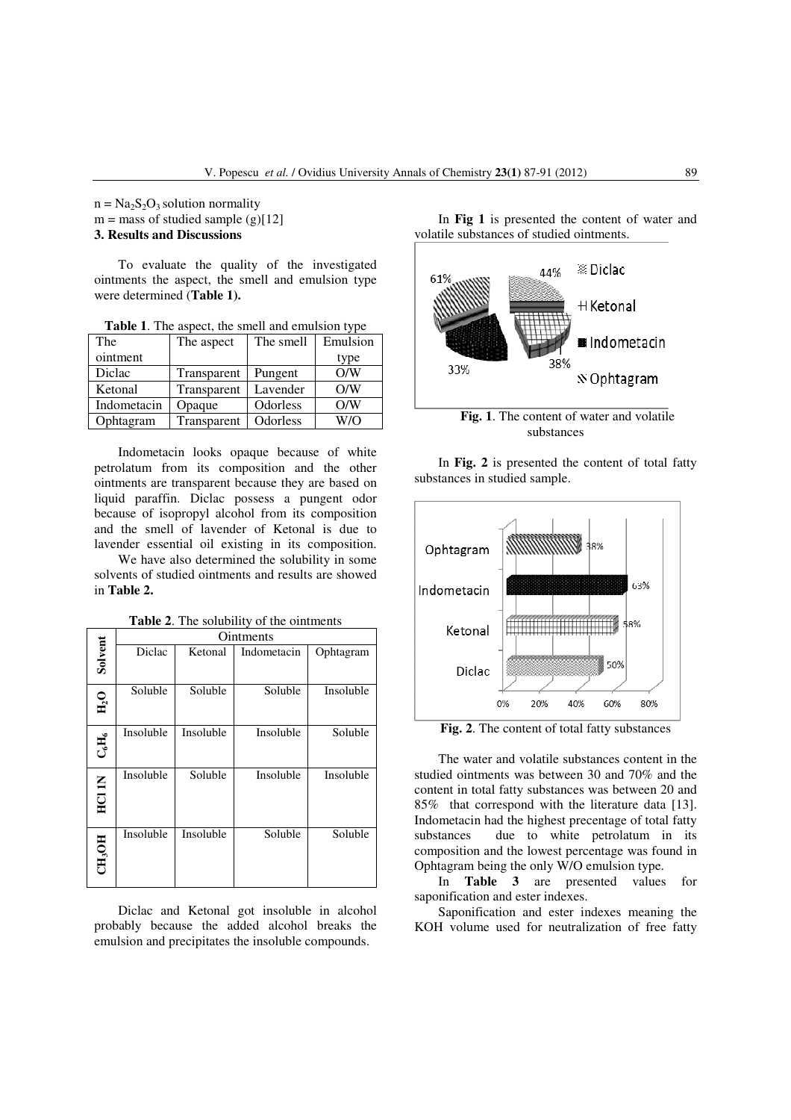$n = Na<sub>2</sub>S<sub>2</sub>O<sub>3</sub>$  solution normality  $m =$  mass of studied sample (g)[12] **3. Results and Discussions** 

 To evaluate the quality of the investigated ointments the aspect, the smell and emulsion type were determined (**Table 1).**

**Table 1**. The aspect, the smell and emulsion type

| The         | The aspect  | The smell | Emulsion |
|-------------|-------------|-----------|----------|
| ointment    |             |           | type     |
| Diclac      | Transparent | Pungent   | O/N      |
| Ketonal     | Transparent | Lavender  | O/W      |
| Indometacin | Opaque      | Odorless  | O/N      |
| Ophtagram   | Transparent | Odorless  | W/O      |

 Indometacin looks opaque because of white petrolatum from its composition and the other ointments are transparent because they are based on liquid paraffin. Diclac possess a pungent odor because of isopropyl alcohol from its composition and the smell of lavender of Ketonal is due to lavender essential oil existing in its composition.

 We have also determined the solubility in some solvents of studied ointments and results are showed in **Table 2.**

|                               | Ointments |           |             |           |  |
|-------------------------------|-----------|-----------|-------------|-----------|--|
| Solvent                       | Diclac    | Ketonal   | Indometacin | Ophtagram |  |
| $\mathbf{H}_{2}^{\mathbf{O}}$ | Soluble   | Soluble   | Soluble     | Insoluble |  |
| $C_6H_6$                      | Insoluble | Insoluble | Insoluble   | Soluble   |  |
| HCI 1N                        | Insoluble | Soluble   | Insoluble   | Insoluble |  |
| CH <sub>3</sub> OH            | Insoluble | Insoluble | Soluble     | Soluble   |  |

**Table 2**. The solubility of the ointments

 Diclac and Ketonal got insoluble in alcohol probably because the added alcohol breaks the emulsion and precipitates the insoluble compounds.

 In **Fig 1** is presented the content of water and volatile substances of studied ointments.



 In **Fig. 2** is presented the content of total fatty substances in studied sample.



**Fig. 2**. The content of total fatty substances

The water and volatile substances content in the studied ointments was between 30 and 70% and the content in total fatty substances was between 20 and 85% that correspond with the literature data [13]. Indometacin had the highest precentage of total fatty substances due to white petrolatum in its composition and the lowest percentage was found in Ophtagram being the only W/O emulsion type.

In **Table 3** are presented values for saponification and ester indexes.

Saponification and ester indexes meaning the KOH volume used for neutralization of free fatty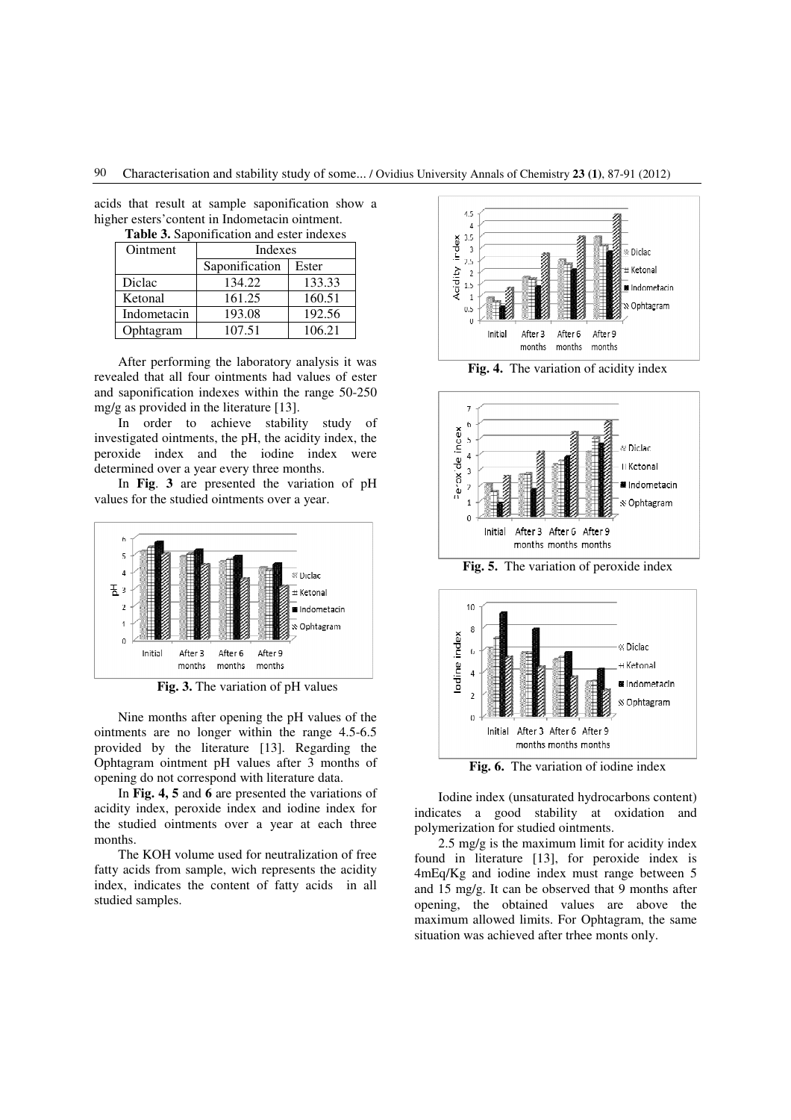90 Characterisation and stability study of some... / Ovidius University Annals of Chemistry **23 (1)**, 87-91 (2012)

acids that result at sample saponification show a higher esters'content in Indometacin ointment.

**Table 3.** Saponification and ester indexes

| Ointment    | Indexes        |        |  |
|-------------|----------------|--------|--|
|             | Saponification | Ester  |  |
| Diclac      | 134.22         | 133.33 |  |
| Ketonal     | 161.25         | 160.51 |  |
| Indometacin | 193.08         | 192.56 |  |
| Ophtagram   | 107.51         | 106.21 |  |

After performing the laboratory analysis it was revealed that all four ointments had values of ester and saponification indexes within the range 50-250 mg/g as provided in the literature [13].

In order to achieve stability study of investigated ointments, the pH, the acidity index, the peroxide index and the iodine index were determined over a year every three months.

In **Fig**. **3** are presented the variation of pH values for the studied ointments over a year.



**Fig. 3.** The variation of pH values

Nine months after opening the pH values of the ointments are no longer within the range 4.5-6.5 provided by the literature [13]. Regarding the Ophtagram ointment pH values after 3 months of opening do not correspond with literature data.

In **Fig. 4, 5** and **6** are presented the variations of acidity index, peroxide index and iodine index for the studied ointments over a year at each three months.

The KOH volume used for neutralization of free fatty acids from sample, wich represents the acidity index, indicates the content of fatty acids in all studied samples.







**Fig. 5.** The variation of peroxide index



Iodine index (unsaturated hydrocarbons content) indicates a good stability at oxidation and polymerization for studied ointments.

2.5 mg/g is the maximum limit for acidity index found in literature [13], for peroxide index is 4mEq/Kg and iodine index must range between 5 and 15 mg/g. It can be observed that 9 months after opening, the obtained values are above the maximum allowed limits. For Ophtagram, the same situation was achieved after trhee monts only.